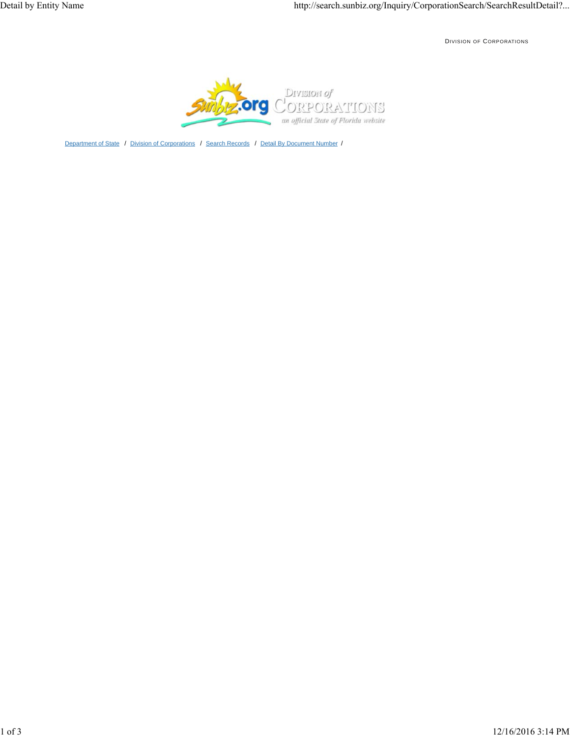DIVISION OF CORPORATIONS



Department of State / Division of Corporations / Search Records / Detail By Document Number /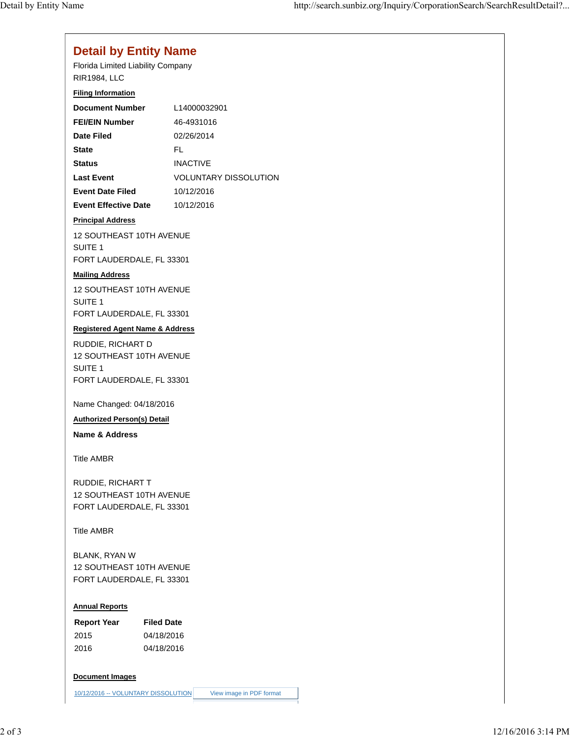# **Detail by Entity Name**

Florida Limited Liability Company RIR1984, LLC

## **Filing Information**

| <b>Document Number</b>      | L14000032901          |
|-----------------------------|-----------------------|
| <b>FEI/EIN Number</b>       | 46-4931016            |
| Date Filed                  | 02/26/2014            |
| <b>State</b>                | FI.                   |
| <b>Status</b>               | <b>INACTIVE</b>       |
| <b>Last Event</b>           | VOLUNTARY DISSOLUTION |
| <b>Event Date Filed</b>     | 10/12/2016            |
| <b>Event Effective Date</b> | 10/12/2016            |

#### **Principal Address**

12 SOUTHEAST 10TH AVENUE SUITE 1 FORT LAUDERDALE, FL 33301

#### **Mailing Address**

12 SOUTHEAST 10TH AVENUE SUITE 1 FORT LAUDERDALE, FL 33301

## **Registered Agent Name & Address**

RUDDIE, RICHART D 12 SOUTHEAST 10TH AVENUE SUITE 1 FORT LAUDERDALE, FL 33301

Name Changed: 04/18/2016

**Authorized Person(s) Detail**

**Name & Address**

Title AMBR

RUDDIE, RICHART T 12 SOUTHEAST 10TH AVENUE FORT LAUDERDALE, FL 33301

Title AMBR

BLANK, RYAN W 12 SOUTHEAST 10TH AVENUE FORT LAUDERDALE, FL 33301

# **Annual Reports**

| <b>Report Year</b> | <b>Filed Date</b> |
|--------------------|-------------------|
| 2015               | 04/18/2016        |
| 2016               | 04/18/2016        |

#### **Document Images**

10/12/2016 -- VOLUNTARY DISSOLUTION View image in PDF format